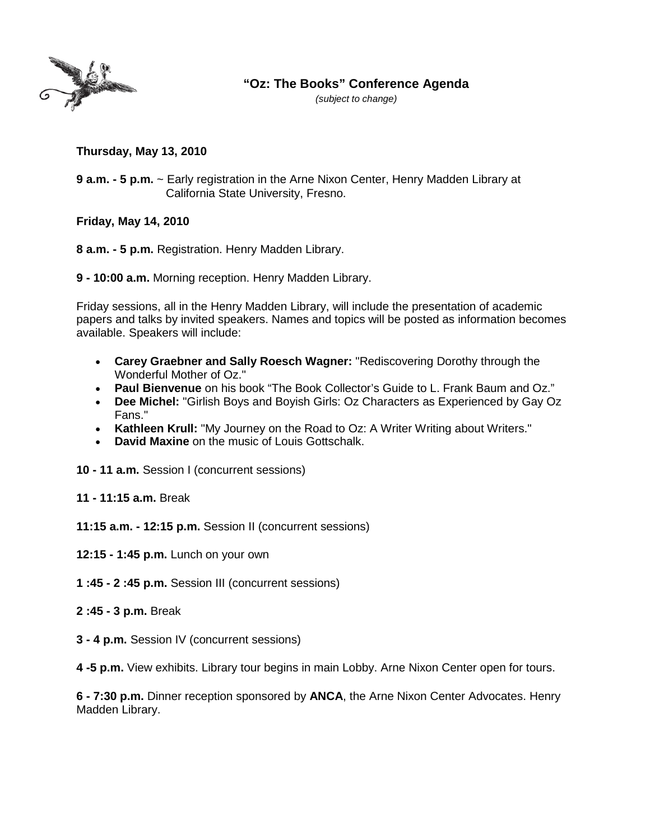

## **"Oz: The Books" Conference Agenda**

*(subject to change)*

**Thursday, May 13, 2010**

**9 a.m. - 5 p.m.** ~ Early registration in the Arne Nixon Center, Henry Madden Library at California State University, Fresno.

**Friday, May 14, 2010**

**8 a.m. - 5 p.m.** Registration. Henry Madden Library.

**9 - 10:00 a.m.** Morning reception. Henry Madden Library.

Friday sessions, all in the Henry Madden Library, will include the presentation of academic papers and talks by invited speakers. Names and topics will be posted as information becomes available. Speakers will include:

- **Carey Graebner and Sally Roesch Wagner:** "Rediscovering Dorothy through the Wonderful Mother of Oz."
- **Paul Bienvenue** on his book "The Book Collector's Guide to L. Frank Baum and Oz."
- **Dee Michel:** "Girlish Boys and Boyish Girls: Oz Characters as Experienced by Gay Oz Fans."
- **Kathleen Krull:** "My Journey on the Road to Oz: A Writer Writing about Writers."
- **David Maxine** on the music of Louis Gottschalk.
- **10 - 11 a.m.** Session I (concurrent sessions)
- **11 - 11:15 a.m.** Break
- **11:15 a.m. - 12:15 p.m.** Session II (concurrent sessions)
- **12:15 - 1:45 p.m.** Lunch on your own
- **1 :45 - 2 :45 p.m.** Session III (concurrent sessions)
- **2 :45 - 3 p.m.** Break
- **3 - 4 p.m.** Session IV (concurrent sessions)

**4 -5 p.m.** View exhibits. Library tour begins in main Lobby. Arne Nixon Center open for tours.

**6 - 7:30 p.m.** Dinner reception sponsored by **ANCA**, the Arne Nixon Center Advocates. Henry Madden Library.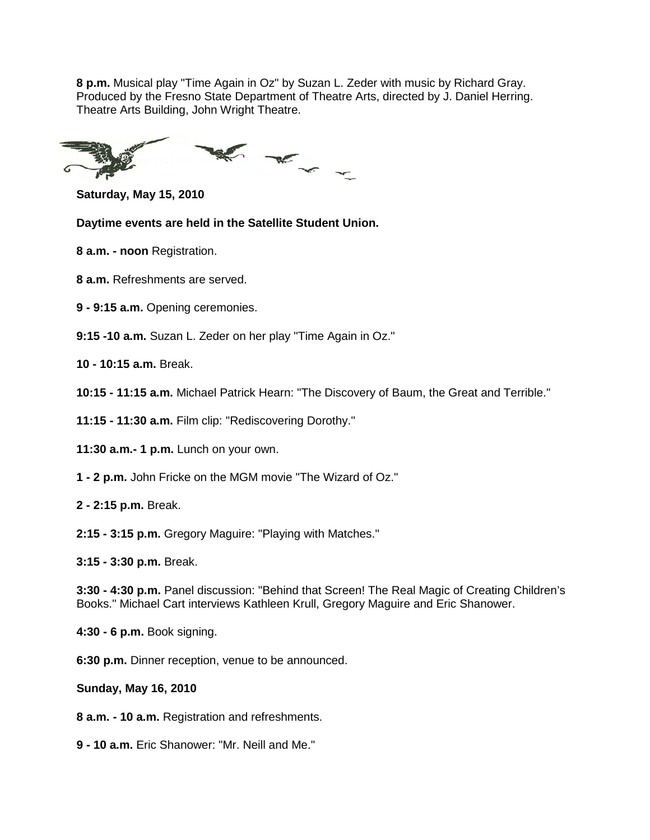**8 p.m.** Musical play "Time Again in Oz" by Suzan L. Zeder with music by Richard Gray. Produced by the Fresno State Department of Theatre Arts, directed by J. Daniel Herring. Theatre Arts Building, John Wright Theatre.

K K X

**Saturday, May 15, 2010**

**Daytime events are held in the Satellite Student Union.**

**8 a.m. - noon** Registration.

**8 a.m.** Refreshments are served.

- **9 - 9:15 a.m.** Opening ceremonies.
- **9:15 -10 a.m.** Suzan L. Zeder on her play "Time Again in Oz."
- **10 - 10:15 a.m.** Break.
- **10:15 - 11:15 a.m.** Michael Patrick Hearn: "The Discovery of Baum, the Great and Terrible."
- **11:15 - 11:30 a.m.** Film clip: "Rediscovering Dorothy."
- **11:30 a.m.- 1 p.m.** Lunch on your own.
- **1 - 2 p.m.** John Fricke on the MGM movie "The Wizard of Oz."
- **2 - 2:15 p.m.** Break.
- **2:15 - 3:15 p.m.** Gregory Maguire: "Playing with Matches."
- **3:15 - 3:30 p.m.** Break.

**3:30 - 4:30 p.m.** Panel discussion: "Behind that Screen! The Real Magic of Creating Children's Books." Michael Cart interviews Kathleen Krull, Gregory Maguire and Eric Shanower.

- **4:30 - 6 p.m.** Book signing.
- **6:30 p.m.** Dinner reception, venue to be announced.
- **Sunday, May 16, 2010**
- **8 a.m. - 10 a.m.** Registration and refreshments.
- **9 - 10 a.m.** Eric Shanower: "Mr. Neill and Me."